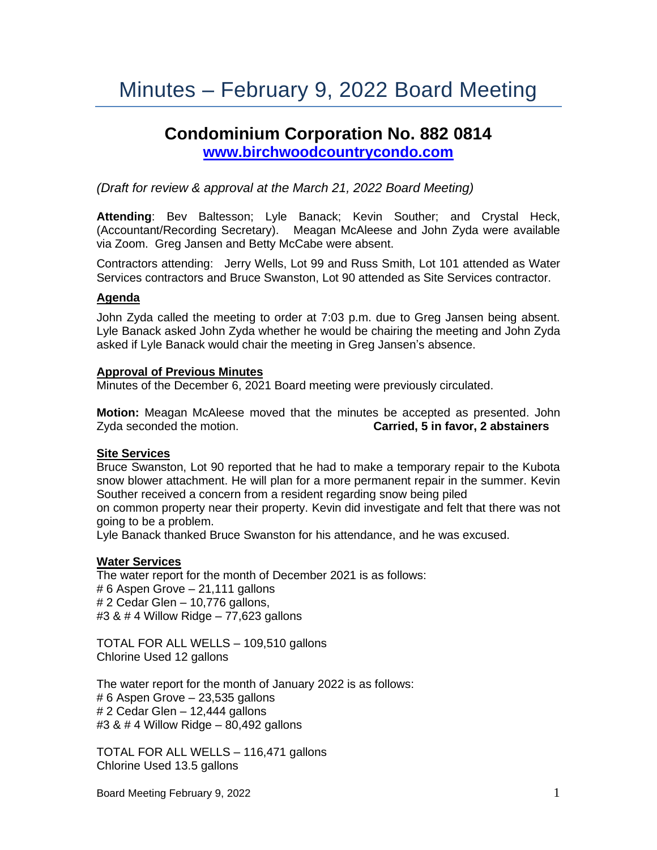# Minutes – February 9, 2022 Board Meeting

# **Condominium Corporation No. 882 0814 [www.birchwoodcountrycondo.com](http://www.birchwoodcountrycondo.com/)**

#### *(Draft for review & approval at the March 21, 2022 Board Meeting)*

**Attending**: Bev Baltesson; Lyle Banack; Kevin Souther; and Crystal Heck, (Accountant/Recording Secretary). Meagan McAleese and John Zyda were available via Zoom. Greg Jansen and Betty McCabe were absent.

Contractors attending: Jerry Wells, Lot 99 and Russ Smith, Lot 101 attended as Water Services contractors and Bruce Swanston, Lot 90 attended as Site Services contractor.

#### **Agenda**

John Zyda called the meeting to order at 7:03 p.m. due to Greg Jansen being absent. Lyle Banack asked John Zyda whether he would be chairing the meeting and John Zyda asked if Lyle Banack would chair the meeting in Greg Jansen's absence.

#### **Approval of Previous Minutes**

Minutes of the December 6, 2021 Board meeting were previously circulated.

**Motion:** Meagan McAleese moved that the minutes be accepted as presented. John Zyda seconded the motion. **Carried, 5 in favor, 2 abstainers**

#### **Site Services**

Bruce Swanston, Lot 90 reported that he had to make a temporary repair to the Kubota snow blower attachment. He will plan for a more permanent repair in the summer. Kevin Souther received a concern from a resident regarding snow being piled

on common property near their property. Kevin did investigate and felt that there was not going to be a problem.

Lyle Banack thanked Bruce Swanston for his attendance, and he was excused.

#### **Water Services**

The water report for the month of December 2021 is as follows: # 6 Aspen Grove – 21,111 gallons # 2 Cedar Glen – 10,776 gallons, #3 & # 4 Willow Ridge – 77,623 gallons

TOTAL FOR ALL WELLS – 109,510 gallons Chlorine Used 12 gallons

The water report for the month of January 2022 is as follows: # 6 Aspen Grove – 23,535 gallons  $# 2$  Cedar Glen – 12,444 gallons #3 & # 4 Willow Ridge – 80,492 gallons

TOTAL FOR ALL WELLS – 116,471 gallons Chlorine Used 13.5 gallons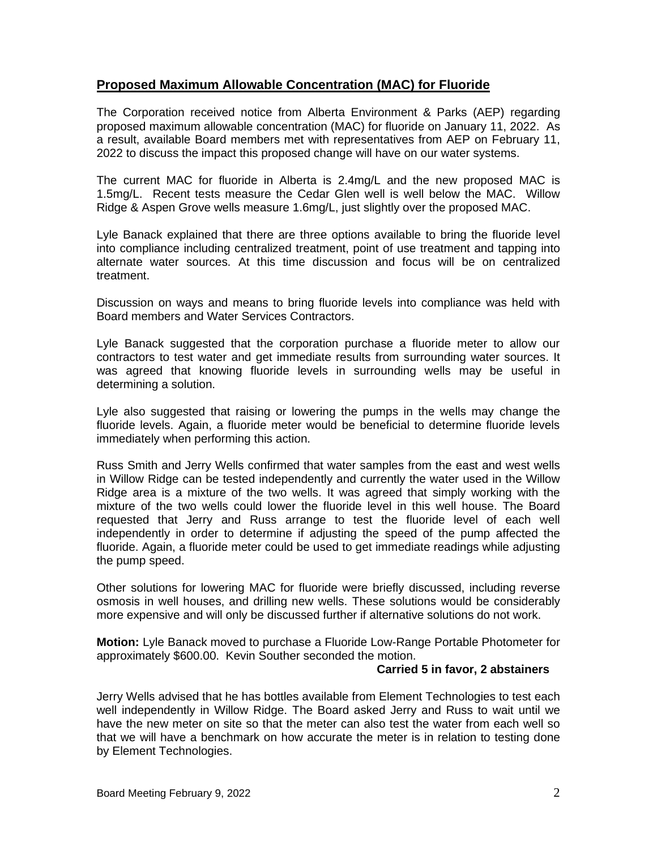## **Proposed Maximum Allowable Concentration (MAC) for Fluoride**

The Corporation received notice from Alberta Environment & Parks (AEP) regarding proposed maximum allowable concentration (MAC) for fluoride on January 11, 2022. As a result, available Board members met with representatives from AEP on February 11, 2022 to discuss the impact this proposed change will have on our water systems.

The current MAC for fluoride in Alberta is 2.4mg/L and the new proposed MAC is 1.5mg/L. Recent tests measure the Cedar Glen well is well below the MAC. Willow Ridge & Aspen Grove wells measure 1.6mg/L, just slightly over the proposed MAC.

Lyle Banack explained that there are three options available to bring the fluoride level into compliance including centralized treatment, point of use treatment and tapping into alternate water sources. At this time discussion and focus will be on centralized treatment.

Discussion on ways and means to bring fluoride levels into compliance was held with Board members and Water Services Contractors.

Lyle Banack suggested that the corporation purchase a fluoride meter to allow our contractors to test water and get immediate results from surrounding water sources. It was agreed that knowing fluoride levels in surrounding wells may be useful in determining a solution.

Lyle also suggested that raising or lowering the pumps in the wells may change the fluoride levels. Again, a fluoride meter would be beneficial to determine fluoride levels immediately when performing this action.

Russ Smith and Jerry Wells confirmed that water samples from the east and west wells in Willow Ridge can be tested independently and currently the water used in the Willow Ridge area is a mixture of the two wells. It was agreed that simply working with the mixture of the two wells could lower the fluoride level in this well house. The Board requested that Jerry and Russ arrange to test the fluoride level of each well independently in order to determine if adjusting the speed of the pump affected the fluoride. Again, a fluoride meter could be used to get immediate readings while adjusting the pump speed.

Other solutions for lowering MAC for fluoride were briefly discussed, including reverse osmosis in well houses, and drilling new wells. These solutions would be considerably more expensive and will only be discussed further if alternative solutions do not work.

**Motion:** Lyle Banack moved to purchase a Fluoride Low-Range Portable Photometer for approximately \$600.00. Kevin Souther seconded the motion.

#### **Carried 5 in favor, 2 abstainers**

Jerry Wells advised that he has bottles available from Element Technologies to test each well independently in Willow Ridge. The Board asked Jerry and Russ to wait until we have the new meter on site so that the meter can also test the water from each well so that we will have a benchmark on how accurate the meter is in relation to testing done by Element Technologies.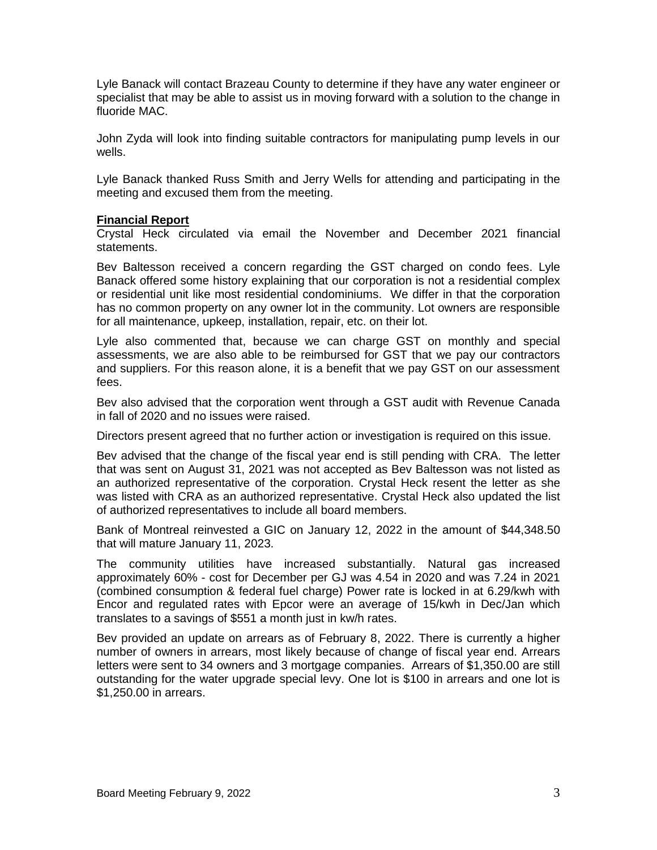Lyle Banack will contact Brazeau County to determine if they have any water engineer or specialist that may be able to assist us in moving forward with a solution to the change in fluoride MAC.

John Zyda will look into finding suitable contractors for manipulating pump levels in our wells.

Lyle Banack thanked Russ Smith and Jerry Wells for attending and participating in the meeting and excused them from the meeting.

#### **Financial Report**

Crystal Heck circulated via email the November and December 2021 financial statements.

Bev Baltesson received a concern regarding the GST charged on condo fees. Lyle Banack offered some history explaining that our corporation is not a residential complex or residential unit like most residential condominiums. We differ in that the corporation has no common property on any owner lot in the community. Lot owners are responsible for all maintenance, upkeep, installation, repair, etc. on their lot.

Lyle also commented that, because we can charge GST on monthly and special assessments, we are also able to be reimbursed for GST that we pay our contractors and suppliers. For this reason alone, it is a benefit that we pay GST on our assessment fees.

Bev also advised that the corporation went through a GST audit with Revenue Canada in fall of 2020 and no issues were raised.

Directors present agreed that no further action or investigation is required on this issue.

Bev advised that the change of the fiscal year end is still pending with CRA. The letter that was sent on August 31, 2021 was not accepted as Bev Baltesson was not listed as an authorized representative of the corporation. Crystal Heck resent the letter as she was listed with CRA as an authorized representative. Crystal Heck also updated the list of authorized representatives to include all board members.

Bank of Montreal reinvested a GIC on January 12, 2022 in the amount of \$44,348.50 that will mature January 11, 2023.

The community utilities have increased substantially. Natural gas increased approximately 60% - cost for December per GJ was 4.54 in 2020 and was 7.24 in 2021 (combined consumption & federal fuel charge) Power rate is locked in at 6.29/kwh with Encor and regulated rates with Epcor were an average of 15/kwh in Dec/Jan which translates to a savings of \$551 a month just in kw/h rates.

Bev provided an update on arrears as of February 8, 2022. There is currently a higher number of owners in arrears, most likely because of change of fiscal year end. Arrears letters were sent to 34 owners and 3 mortgage companies. Arrears of \$1,350.00 are still outstanding for the water upgrade special levy. One lot is \$100 in arrears and one lot is \$1,250.00 in arrears.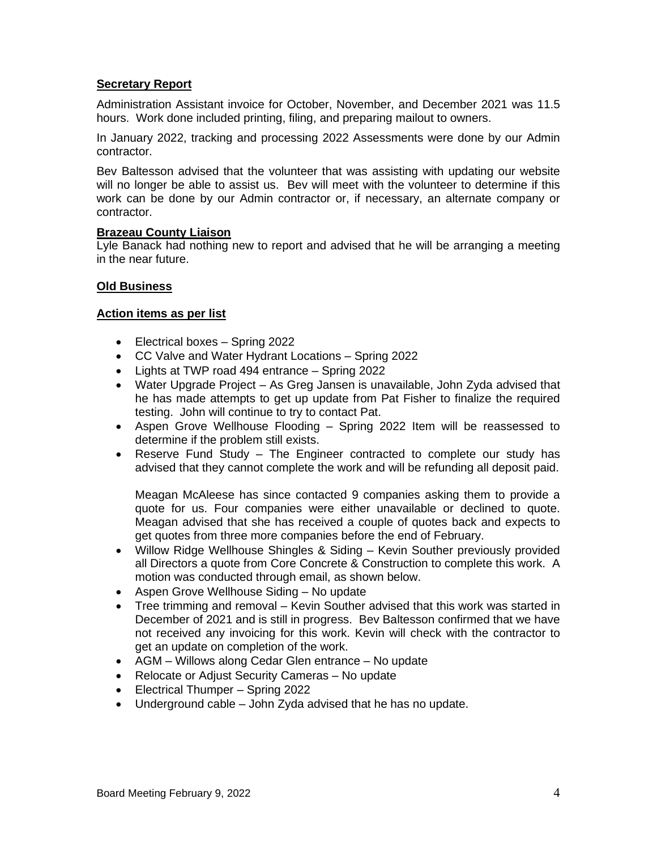#### **Secretary Report**

Administration Assistant invoice for October, November, and December 2021 was 11.5 hours. Work done included printing, filing, and preparing mailout to owners.

In January 2022, tracking and processing 2022 Assessments were done by our Admin contractor.

Bev Baltesson advised that the volunteer that was assisting with updating our website will no longer be able to assist us. Bev will meet with the volunteer to determine if this work can be done by our Admin contractor or, if necessary, an alternate company or contractor.

#### **Brazeau County Liaison**

Lyle Banack had nothing new to report and advised that he will be arranging a meeting in the near future.

#### **Old Business**

#### **Action items as per list**

- Electrical boxes Spring 2022
- CC Valve and Water Hydrant Locations Spring 2022
- Lights at TWP road 494 entrance Spring 2022
- Water Upgrade Project As Greg Jansen is unavailable, John Zyda advised that he has made attempts to get up update from Pat Fisher to finalize the required testing. John will continue to try to contact Pat.
- Aspen Grove Wellhouse Flooding Spring 2022 Item will be reassessed to determine if the problem still exists.
- Reserve Fund Study The Engineer contracted to complete our study has advised that they cannot complete the work and will be refunding all deposit paid.

Meagan McAleese has since contacted 9 companies asking them to provide a quote for us. Four companies were either unavailable or declined to quote. Meagan advised that she has received a couple of quotes back and expects to get quotes from three more companies before the end of February.

- Willow Ridge Wellhouse Shingles & Siding Kevin Souther previously provided all Directors a quote from Core Concrete & Construction to complete this work. A motion was conducted through email, as shown below.
- Aspen Grove Wellhouse Siding No update
- Tree trimming and removal Kevin Souther advised that this work was started in December of 2021 and is still in progress. Bev Baltesson confirmed that we have not received any invoicing for this work. Kevin will check with the contractor to get an update on completion of the work.
- AGM Willows along Cedar Glen entrance No update
- Relocate or Adjust Security Cameras No update
- Electrical Thumper Spring 2022
- Underground cable John Zyda advised that he has no update.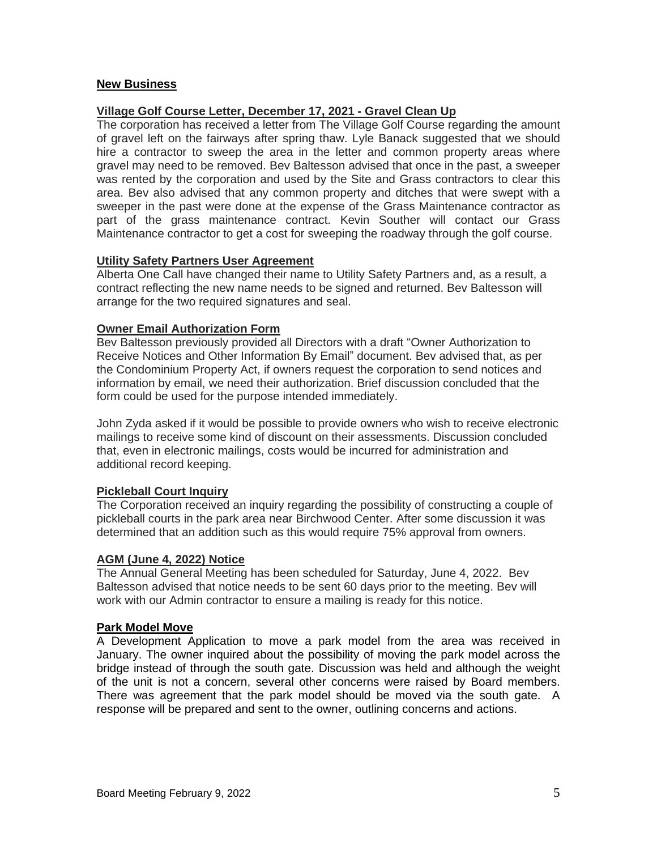#### **New Business**

#### **Village Golf Course Letter, December 17, 2021 - Gravel Clean Up**

The corporation has received a letter from The Village Golf Course regarding the amount of gravel left on the fairways after spring thaw. Lyle Banack suggested that we should hire a contractor to sweep the area in the letter and common property areas where gravel may need to be removed. Bev Baltesson advised that once in the past, a sweeper was rented by the corporation and used by the Site and Grass contractors to clear this area. Bev also advised that any common property and ditches that were swept with a sweeper in the past were done at the expense of the Grass Maintenance contractor as part of the grass maintenance contract. Kevin Souther will contact our Grass Maintenance contractor to get a cost for sweeping the roadway through the golf course.

#### **Utility Safety Partners User Agreement**

Alberta One Call have changed their name to Utility Safety Partners and, as a result, a contract reflecting the new name needs to be signed and returned. Bev Baltesson will arrange for the two required signatures and seal.

#### **Owner Email Authorization Form**

Bev Baltesson previously provided all Directors with a draft "Owner Authorization to Receive Notices and Other Information By Email" document. Bev advised that, as per the Condominium Property Act, if owners request the corporation to send notices and information by email, we need their authorization. Brief discussion concluded that the form could be used for the purpose intended immediately.

John Zyda asked if it would be possible to provide owners who wish to receive electronic mailings to receive some kind of discount on their assessments. Discussion concluded that, even in electronic mailings, costs would be incurred for administration and additional record keeping.

### **Pickleball Court Inquiry**

The Corporation received an inquiry regarding the possibility of constructing a couple of pickleball courts in the park area near Birchwood Center. After some discussion it was determined that an addition such as this would require 75% approval from owners.

#### **AGM (June 4, 2022) Notice**

The Annual General Meeting has been scheduled for Saturday, June 4, 2022. Bev Baltesson advised that notice needs to be sent 60 days prior to the meeting. Bev will work with our Admin contractor to ensure a mailing is ready for this notice.

#### **Park Model Move**

A Development Application to move a park model from the area was received in January. The owner inquired about the possibility of moving the park model across the bridge instead of through the south gate. Discussion was held and although the weight of the unit is not a concern, several other concerns were raised by Board members. There was agreement that the park model should be moved via the south gate. A response will be prepared and sent to the owner, outlining concerns and actions.